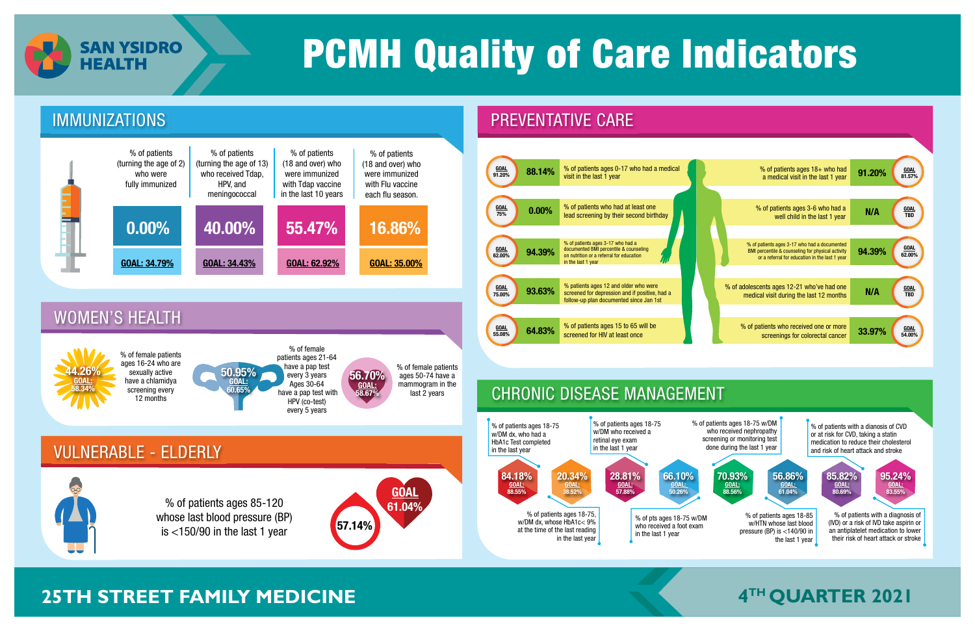



## **25TH STREET FAMILY MEDICINE The STREET STREET FAMILY MEDICINE The Street Street Street A<sup>TH</sup> QUARTER 2021**



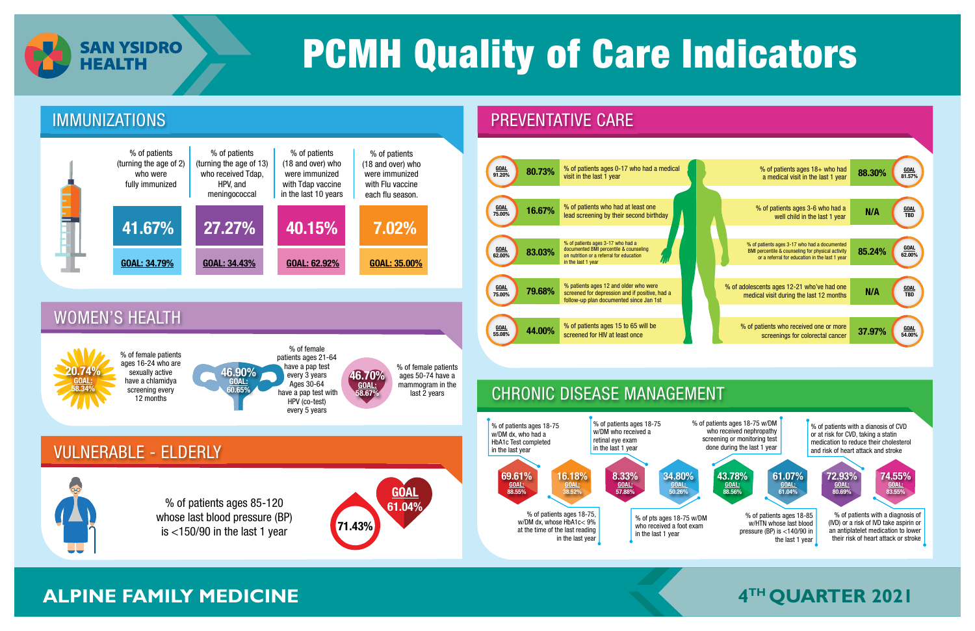

### CHRONIC DISEASE MANAGEMENT



## **ALPINE FAMILY MEDICINE THE CONSTRUCTER 2021**

% of patients ages 18-85 w/HTN whose last blood pressure (BP) is <140/90 in the last 1 year 61.07% GOAL: 61.04% % of patients ages 18-75 w/DM who received nephropathy screening or monitoring test done during the last 1 year 43.78% GOAL: 88.56% % of patients with a dianosis of CVD or at risk for CVD, taking a statin medication to reduce their cholesterol and risk of heart attack and stroke 74.55% GOAL: 83.55% 72.93% GOAL: 80.69% % of patients with a diagnosis of (IVD) or a risk of IVD take aspirin or an antiplatelet medication to lower their risk of heart attack or stroke



is  $\lt$ 150/90 in the last 1 year 71.43%

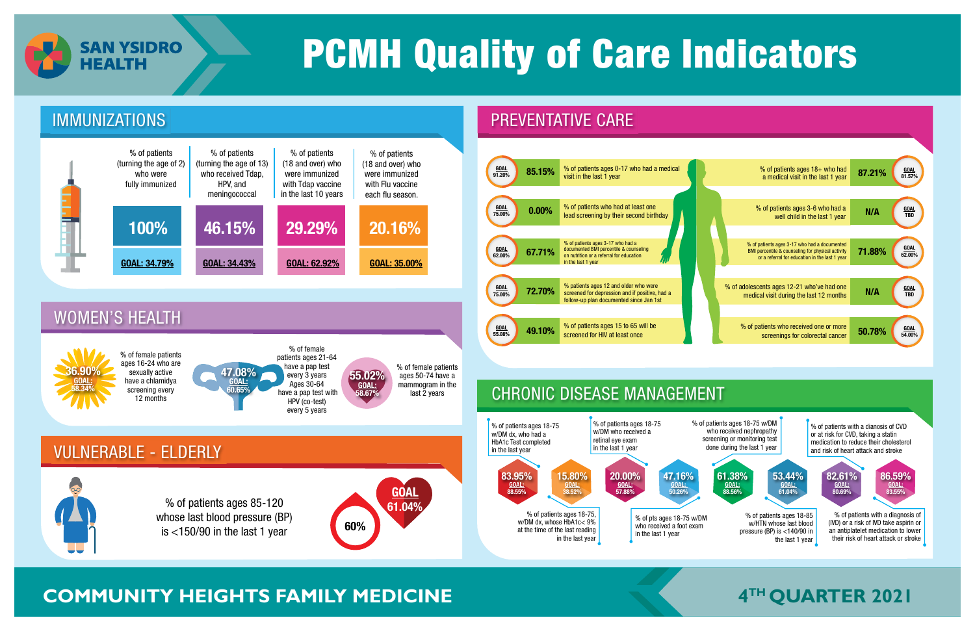

% of patients ages 85-120 whose last blood pressure (BP)

61.04%



## **COMMUNITY HEIGHTS FAMILY MEDICINE THE RESERVENT RATE OF A THIS QUARTER 2021**

is  $\lt 150/90$  in the last 1 year 60%



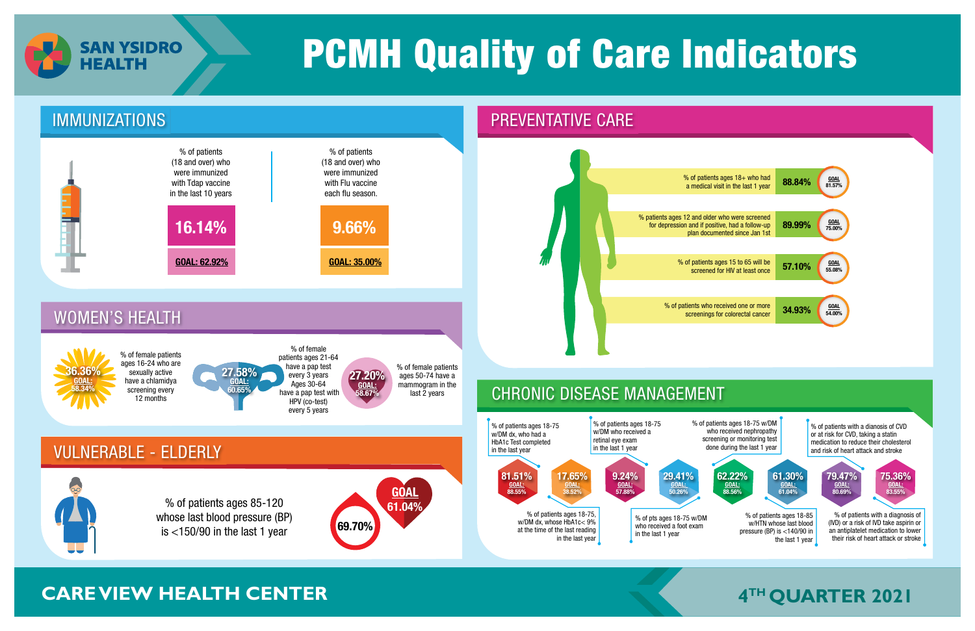

### IMMUNIZATIONS PREVENTATIVE CARE

## **CARE VIEW HEALTH CENTER**

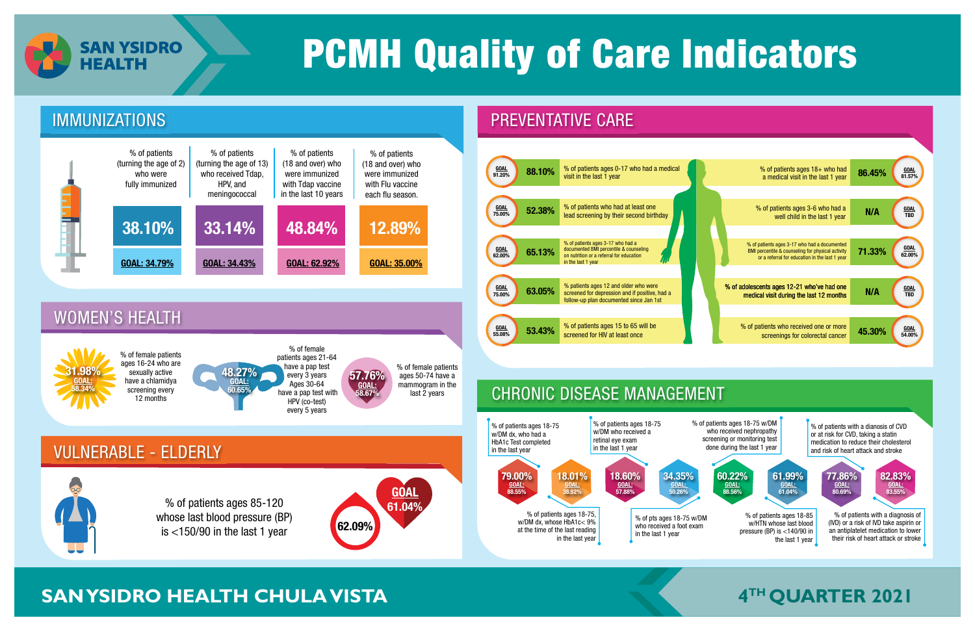

### CHRONIC DISEASE MANAGEMENT

**GOAL** 61.04%



## **EXAM YSIDRO HEALTH CHULA VISTA THE CHULA VISTA THE CHULA VISTA THE CUARTER 2021**

% of patients ages 85-120 whose last blood pressure (BP)

is  $\lt 150/90$  in the last 1 year 62.09%

% of patients ages 18-85 w/HTN whose last blood pressure (BP) is <140/90 in the last 1 year 61.99% GOAL: 61.04% % of patients ages 18-75 w/DM who received nephropathy screening or monitoring test done during the last 1 year 60.22% GOAL: 88.56% % of patients with a dianosis of CVD or at risk for CVD, taking a statin medication to reduce their cholesterol and risk of heart attack and stroke 82.83% GOAL: 83.55% 77.86% GOAL: 80.69% % of patients with a diagnosis of (IVD) or a risk of IVD take aspirin or an antiplatelet medication to lower their risk of heart attack or stroke



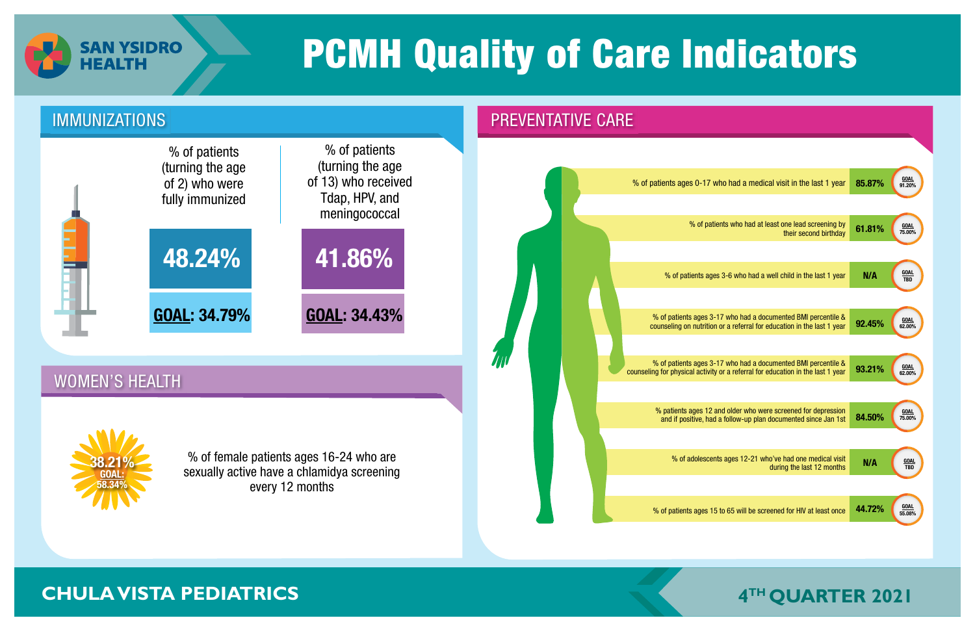

### IMMUNIZATIONS **PREVENTATIVE CARE**

### WOMEN'S HEALTH

### **CHULA VISTA PEDIATRICS**





% of pation

| vho had a medical visit in the last 1 year                                                 | 85.87% | <b>GOAL</b><br>91.20% |
|--------------------------------------------------------------------------------------------|--------|-----------------------|
|                                                                                            |        |                       |
| ents who had at least one lead screening by<br>their second birthday                       | 61.81% | <b>GOAL</b><br>75.00% |
|                                                                                            |        |                       |
| s 3-6 who had a well child in the last 1 year                                              | N/A    | <b>GOAL</b><br>TBD    |
|                                                                                            |        |                       |
| 17 who had a documented BMI percentile &<br>or a referral for education in the last 1 year | 92.45% | <b>GOAL</b><br>62.00% |
|                                                                                            |        |                       |
| 17 who had a documented BMI percentile &<br>or a referral for education in the last 1 year | 93.21% | <b>GOAL</b><br>62.00% |
|                                                                                            |        |                       |
| and older who were screened for depression<br>a follow-up plan documented since Jan 1st    | 84.50% | <b>GOAL</b><br>75.00% |
|                                                                                            |        |                       |
| ts ages 12-21 who've had one medical visit<br>during the last 12 months                    | N/A    | <b>GOAL</b><br>TBD    |
|                                                                                            |        |                       |
| to 65 will be screened for HIV at least once                                               | 44.72% | <b>GOAL</b><br>55.08% |
|                                                                                            |        |                       |

% of female patients ages 16-24 who are sexually active have a chlamidya screening every 12 months

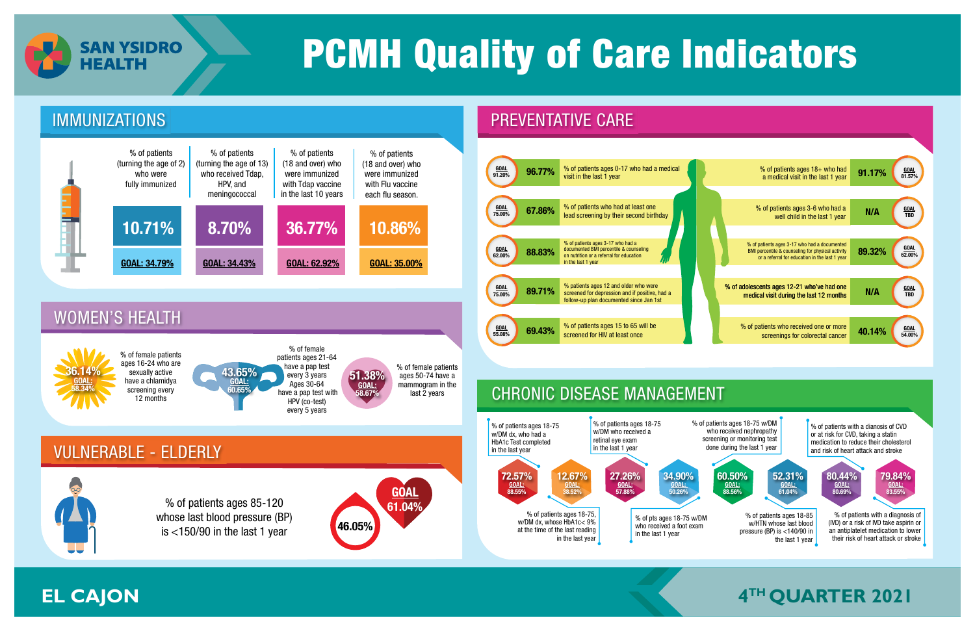

### VULNERABLE - ELDERLY

### WOMEN'S HEALTH

## **4 EL CAJON TH QUARTER 2021**

% of patients ages 85-120 whose last blood pressure (BP) is  $\lt 150/90$  in the last 1 year  $\sqrt{46.05\%}$ 









% of female patients ages 16-24 who are sexually active have a chlamidya screening every 12 months

% of female patients ages 21-64 have a pap test every 3 years Ages 30-64 have a pap test with HPV (co-test) every 5 years

36.14% GOAL: 58.34%



51.38% GOAL: 58.67%

% of female patients ages 50-74 have a mammogram in the last 2 years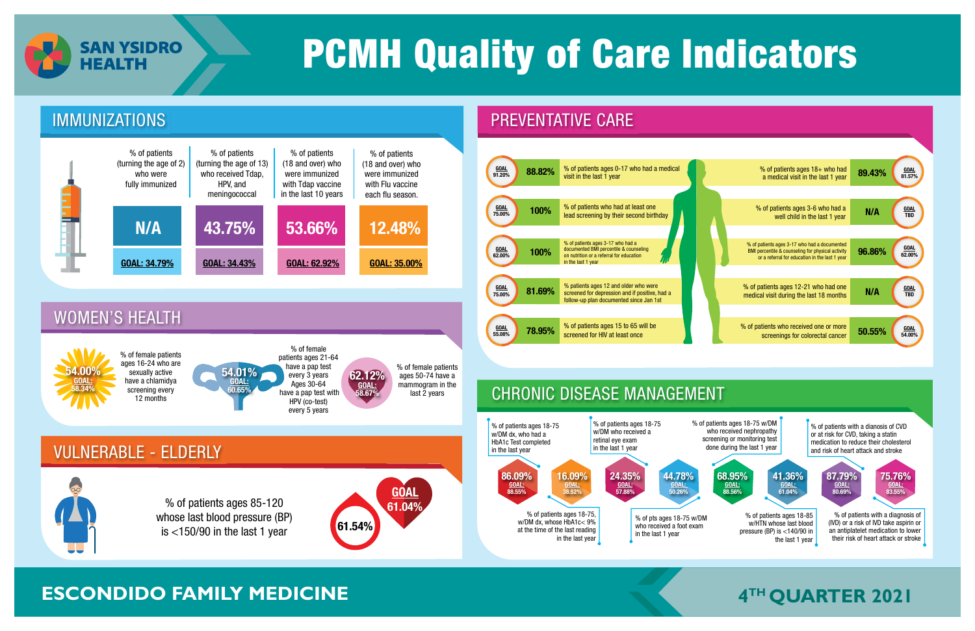



## **ESCONDIDO FAMILY MEDICINE THE 2021**



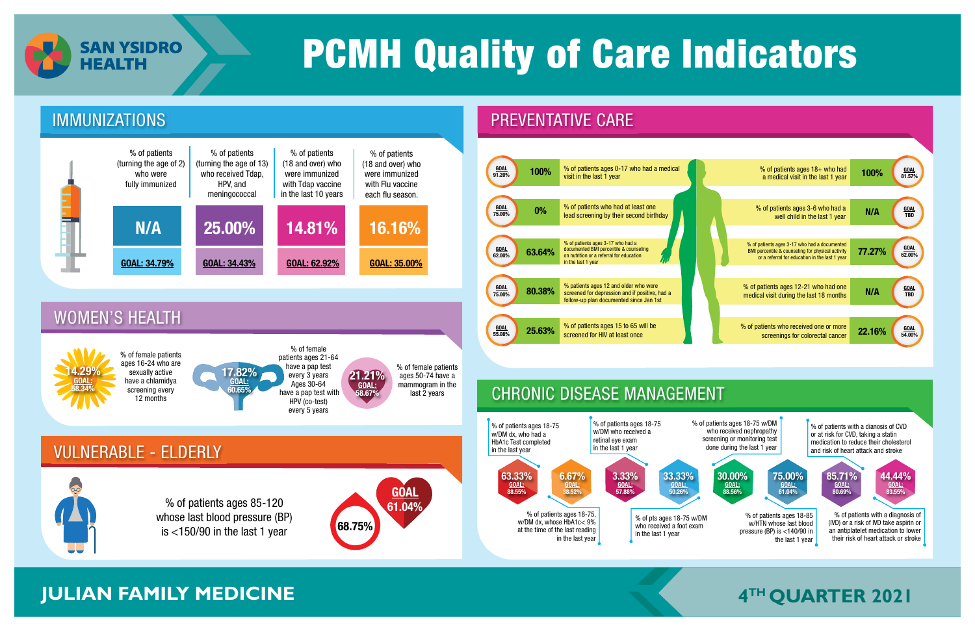

% of patients ages 85-120 whose last blood pressure (BP) is  $\lt$ 150/90 in the last 1 year 68.75%



## **JULIAN FAMILY MEDICINE The CONSTRUCTION OF A 4<sup>TH</sup> QUARTER 2021**





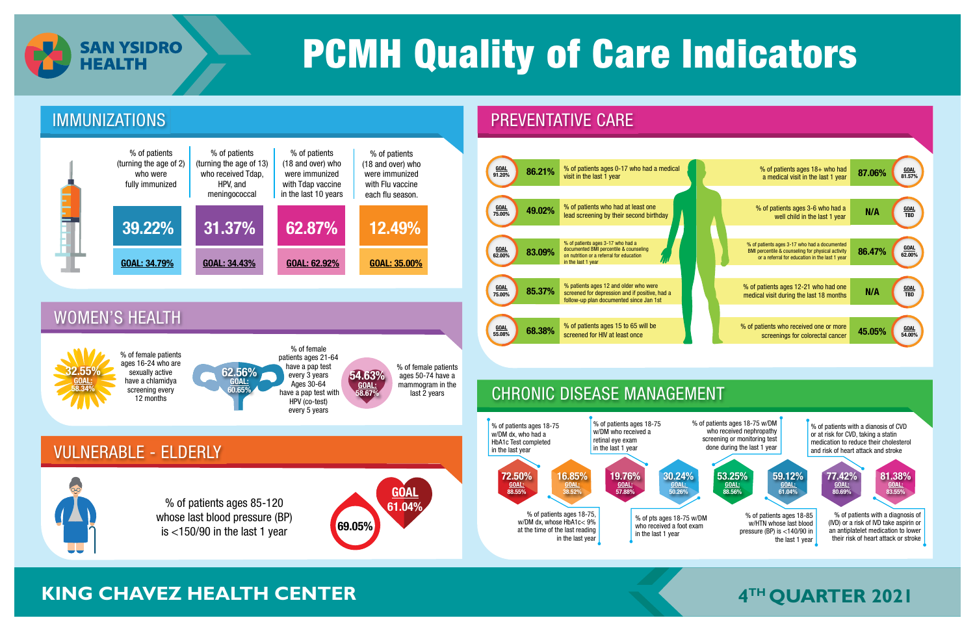

### VULNERABLE - ELDERLY

### CHRONIC DISEASE MANAGEMENT

% of patients ages 85-120 whose last blood pressure (BP) is  $\lt$ 150/90 in the last 1 year 69.05%



## **KING CHAVEZ HEALTH CENTER THEALTH CENTER THE CONSUMING A 4<sup>TH</sup> QUARTER 2021**





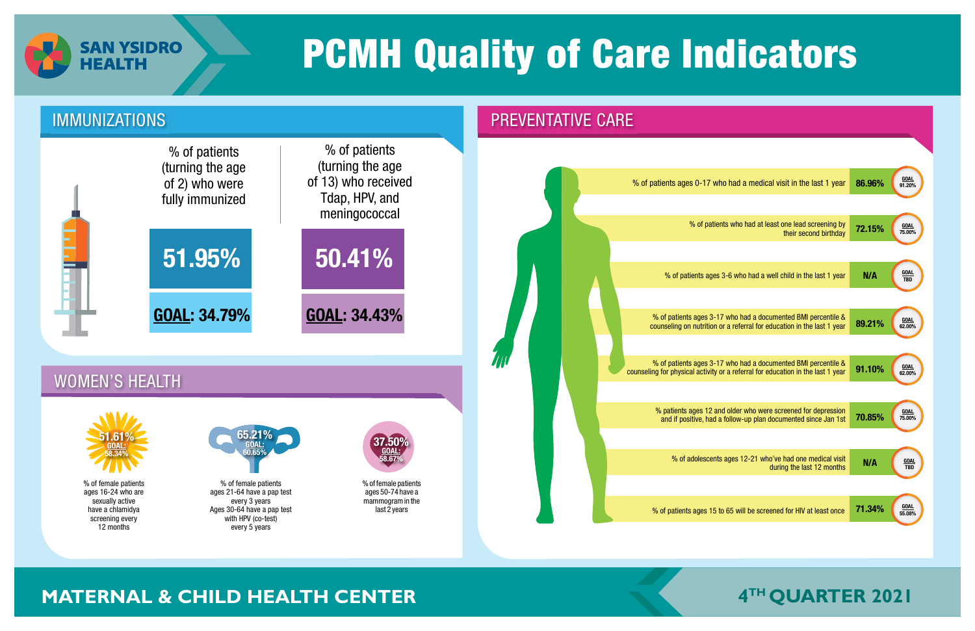

### IMMUNIZATIONS **PREVENTATIVE CARE**

### WOMEN'S HEALTH

## **MATERNAL & CHILD HEALTH CENTER**





| who had a medical visit in the last 1 year                                                   | 86.96% | <b>GOAL</b><br>91.20%     |
|----------------------------------------------------------------------------------------------|--------|---------------------------|
|                                                                                              |        |                           |
| ents who had at least one lead screening by<br>their second birthday                         | 72.15% | <b>GOAL</b><br>75.00%     |
|                                                                                              |        |                           |
| s 3-6 who had a well child in the last 1 year                                                | N/A    | <b>GOAL</b><br><b>TBD</b> |
|                                                                                              |        |                           |
| 17 who had a documented BMI percentile &<br>or a referral for education in the last 1 year   | 89.21% | <b>GOAL</b><br>62.00%     |
|                                                                                              |        |                           |
| 17 who had a documented BMI percentile &<br>y or a referral for education in the last 1 year | 91.10% | <b>GOAL</b><br>62.00%     |
|                                                                                              |        |                           |
| and older who were screened for depression<br>a follow-up plan documented since Jan 1st      | 70.85% | <b>GOAL</b><br>75.00%     |
|                                                                                              |        |                           |
| ts ages 12-21 who've had one medical visit<br>during the last 12 months                      | N/A    | <u>GOAL</u><br>TBD        |
|                                                                                              |        |                           |
| o to 65 will be screened for HIV at least once                                               | 71.34% | <b>GOAL</b><br>55.08%     |
|                                                                                              |        |                           |

% of female patients ages 16-24 who are sexually active have a chlamidya screening every 12 months

% of female patients ages 21-64 have a pap test every 3 years Ages 30-64 have a pap test with HPV (co-test) every 5 years







% of female patients ages 50-74 have a mammogram in the last 2 years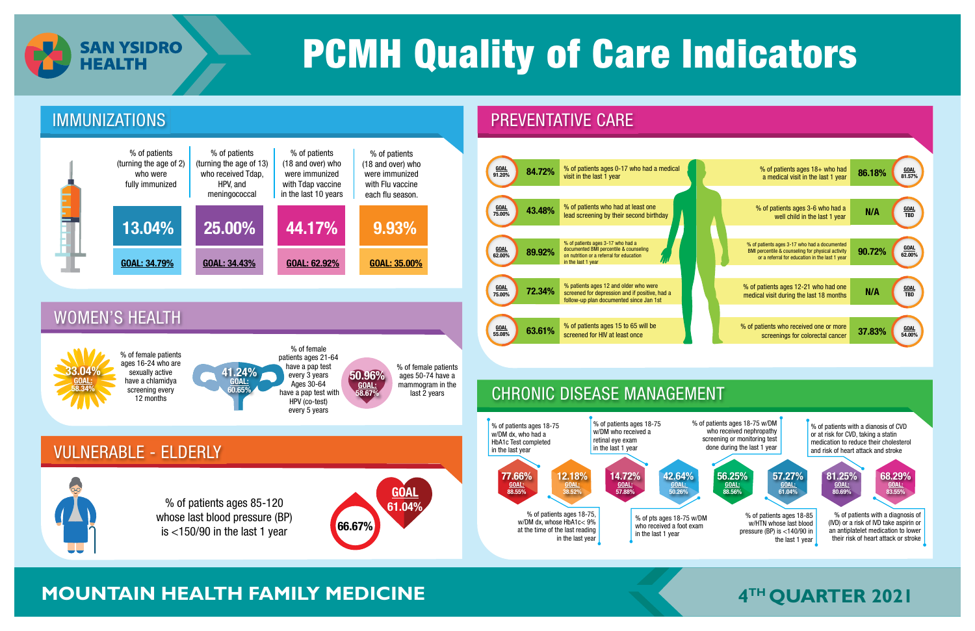



## **MOUNTAIN HEALTH FAMILY MEDICINE The Second Music Contrary of A<sup>TH</sup> QUARTER 2021**



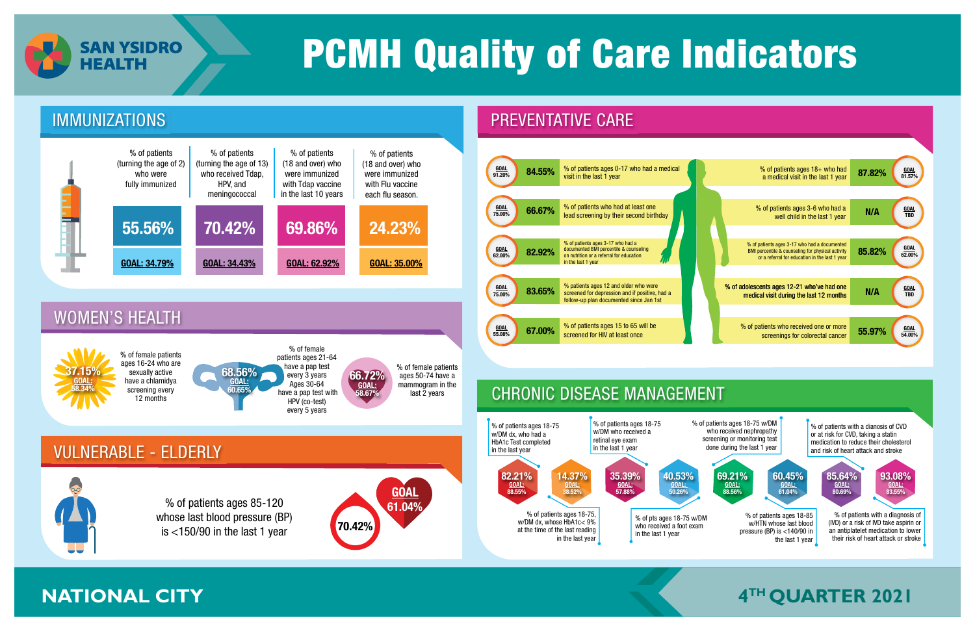

### CHRONIC DISEASE MANAGEMENT

% of patients ages 85-120 whose last blood pressure (BP) is  $\lt$ 150/90 in the last 1 year  $\sqrt{70.42\%}$ 

**GOAL** 61.04%





% of patients ages 18-85 w/HTN whose last blood pressure (BP) is <140/90 in the last 1 year 60.45% GOAL: 61.04% % of patients ages 18-75 w/DM who received nephropathy screening or monitoring test done during the last 1 year 69.21% GOAL: 88.56% % of patients with a dianosis of CVD or at risk for CVD, taking a statin medication to reduce their cholesterol and risk of heart attack and stroke 93.08% GOAL: 83.55% 85.64% GOAL: 80.69% % of patients with a diagnosis of (IVD) or a risk of IVD take aspirin or an antiplatelet medication to lower their risk of heart attack or stroke

## **ANATIONAL CITY THE CITY THE CITY THE CITY THE CITY THE CITY THE CITY THE CITY THE CITY THE CITY THE CITY THE CITY THE CITY THE CITY THE CITY THE CITY THE CITY THE CITY THE CITY THE CI**



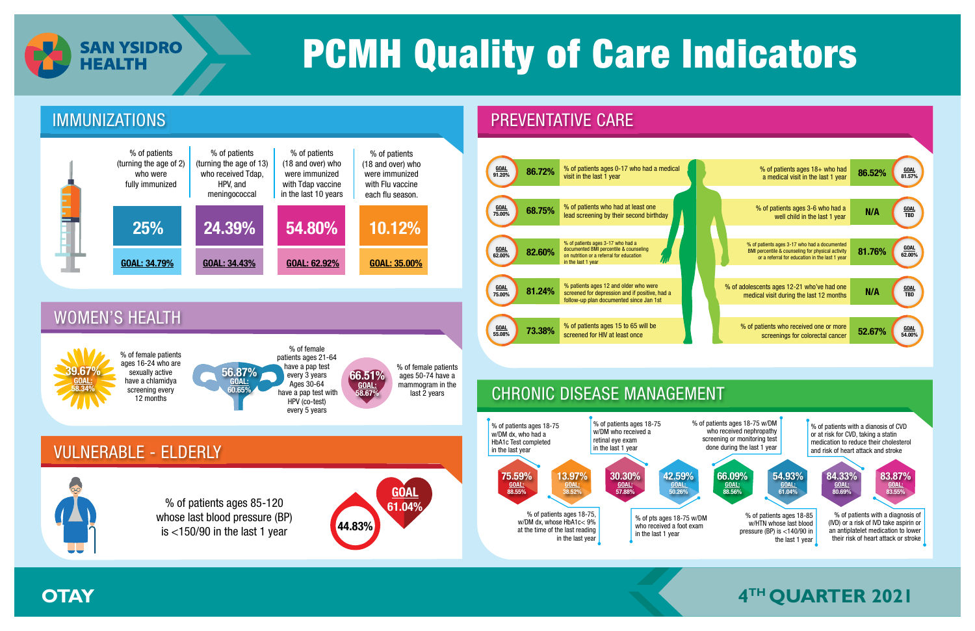

## VULNERABLE - ELDERLY



### WOMEN'S HEALTH

### CHRONIC DISEASE MANAGEMENT

% of patients ages 85-120 whose last blood pressure (BP) is  $\lt$ 150/90 in the last 1 year  $\sqrt{44.83\%}$ 







9.67% GOAL: 58.34%

% of patients ages 18-85 w/HTN whose last blood pressure (BP) is <140/90 in the last 1 year 54.93% GOAL: 61.04% % of patients ages 18-75 w/DM who received nephropathy screening or monitoring test done during the last 1 year 66.09% GOAL: 88.56% % of patients with a dianosis of CVD or at risk for CVD, taking a statin medication to reduce their cholesterol and risk of heart attack and stroke 83.87% GOAL: 83.55% 84.33% GOAL: 80.69% % of patients with a diagnosis of (IVD) or a risk of IVD take aspirin or an antiplatelet medication to lower their risk of heart attack or stroke

## **A OTAY A REPORT EXAMPLE 2021 The CONSTRUCTION OF A REPORT OF A REPORT EXAMPLE 2021**





% of female patients ages 16-24 who are sexually active have a chlamidya screening every 12 months

% of female patients ages 21-64 have a pap test every 3 years Ages 30-64 have a pap test with HPV (co-test) every 5 years



66.51% GOAL: 58.67%

% of female patients ages 50-74 have a mammogram in the last 2 years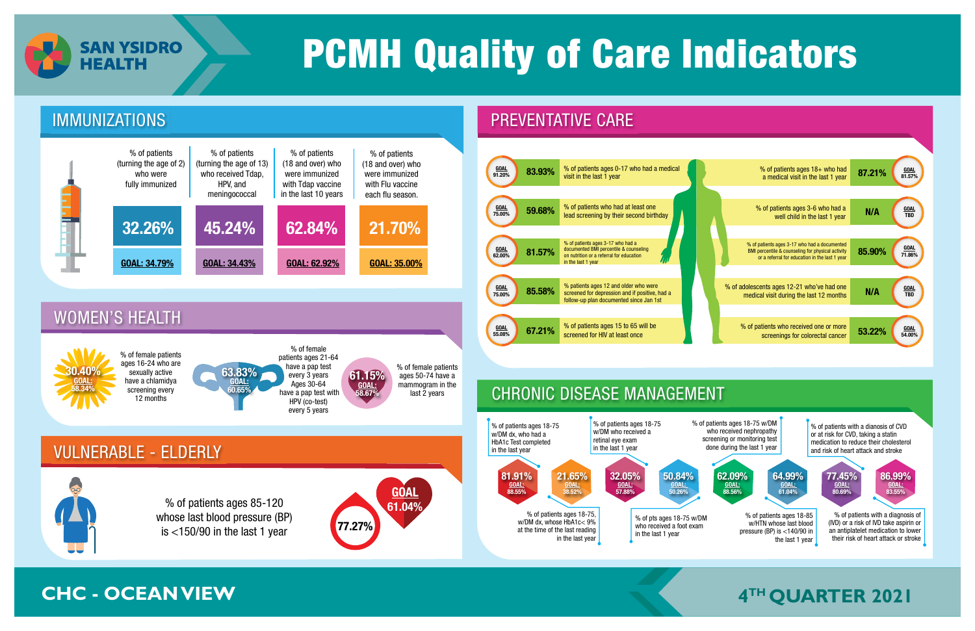

### CHRONIC DISEASE MANAGEMENT

**GOAL** 61.04%



% of patients ages 85-120 whose last blood pressure (BP)

is  $\lt$ 150/90 in the last 1 year 77.27%

% of patients ages 18-85 w/HTN whose last blood pressure (BP) is <140/90 in the last 1 year 64.99% GOAL: 61.04% % of patients ages 18-75 w/DM who received nephropathy screening or monitoring test done during the last 1 year 62.09% GOAL: 88.56% % of patients with a dianosis of CVD or at risk for CVD, taking a statin medication to reduce their cholesterol and risk of heart attack and stroke 86.99% GOAL: 83.55% 77.45% GOAL: 80.69% % of patients with a diagnosis of (IVD) or a risk of IVD take aspirin or an antiplatelet medication to lower their risk of heart attack or stroke

## **CHC - OCEAN VIEW THE CHOCAN VIEW SERVICE CHOCAN VIEW SERVICE 2021**



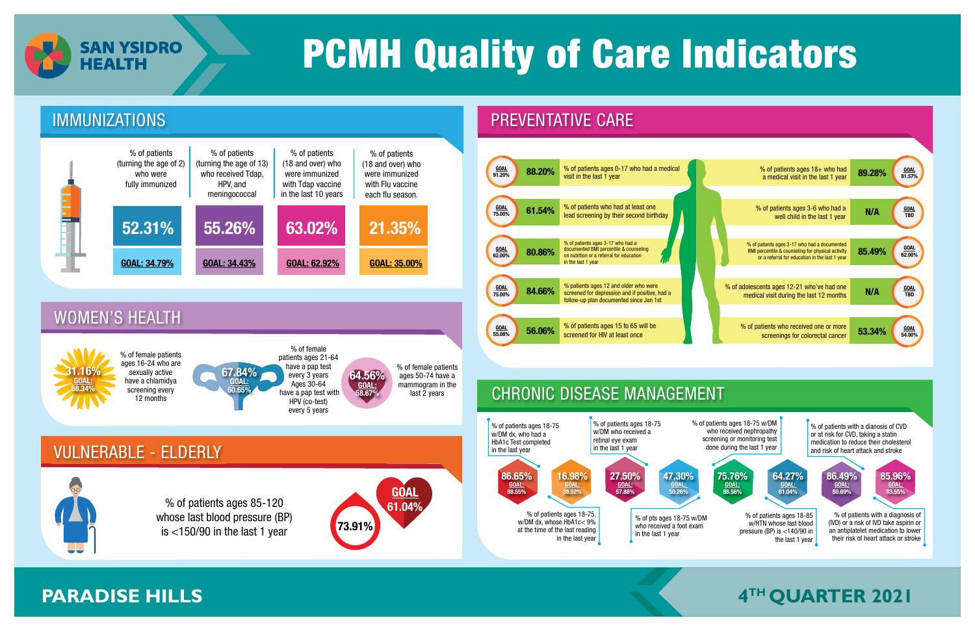

whose last blood pressure (BP)

is  $<$ 150/90 in the last 1 year 73.91%



## **PARADISE HILLS THE RESERVE OF A 4<sup>TH</sup> QUARTER 2021**



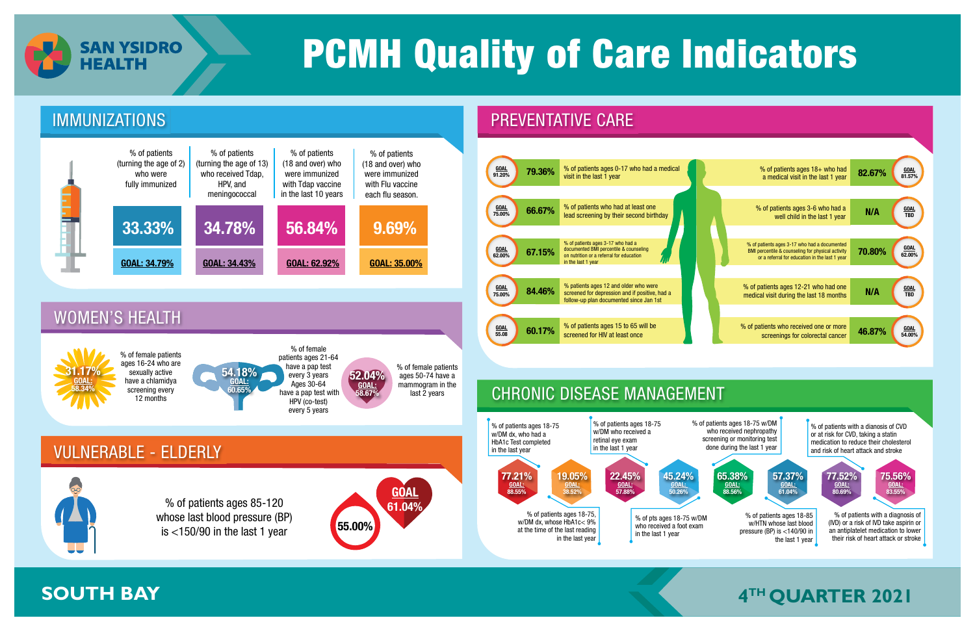

### CHRONIC DISEASE MANAGEMENT





% of patients ages 18-85 w/HTN whose last blood pressure (BP) is <140/90 in the last 1 year 57.37% GOAL: 61.04% % of patients ages 18-75 w/DM who received nephropathy screening or monitoring test done during the last 1 year 65.38% GOAL: 88.56% % of patients with a dianosis of CVD or at risk for CVD, taking a statin medication to reduce their cholesterol and risk of heart attack and stroke 75.56% GOAL: 83.55% 77.52% GOAL: 80.69% % of patients with a diagnosis of (IVD) or a risk of IVD take aspirin or an antiplatelet medication to lower their risk of heart attack or stroke

## **EXAMPLE BAY THE QUARTER 2021**

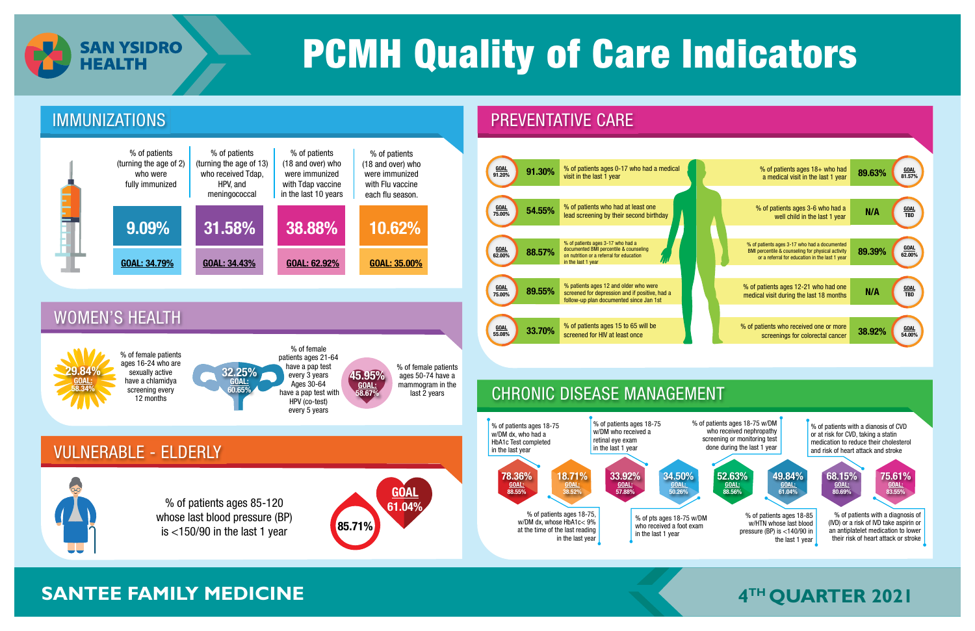

whose last blood pressure (BP)

is  $\lt 150/90$  in the last 1 year 85.71%



### **EXAMPLE FAMILY MEDICINE THE GUARTER 2021**



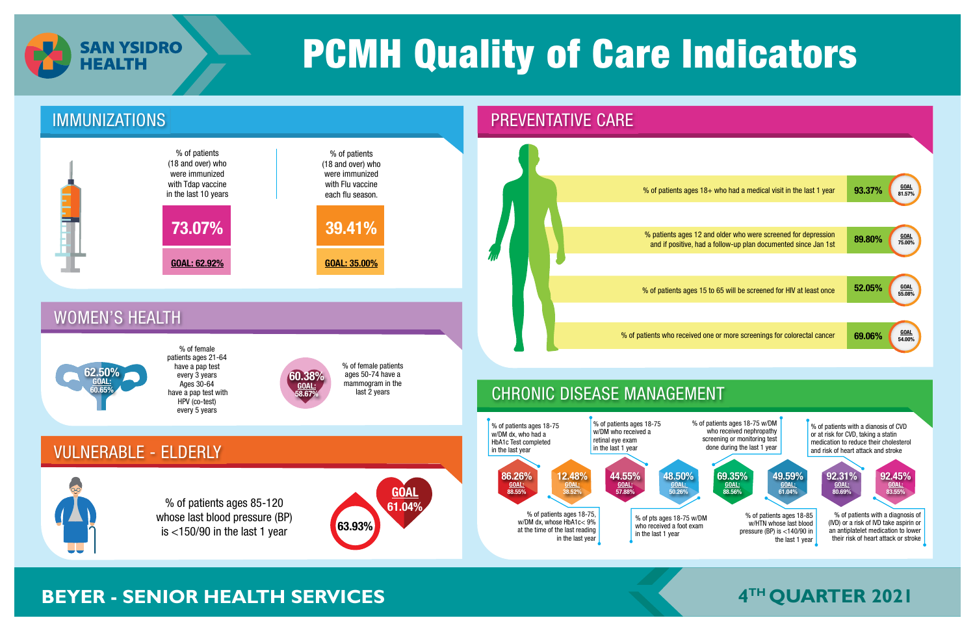



## **BEYER - SENIOR HEALTH SERVICES THE MUSIC SERVICE OF A THE QUARTER 2021**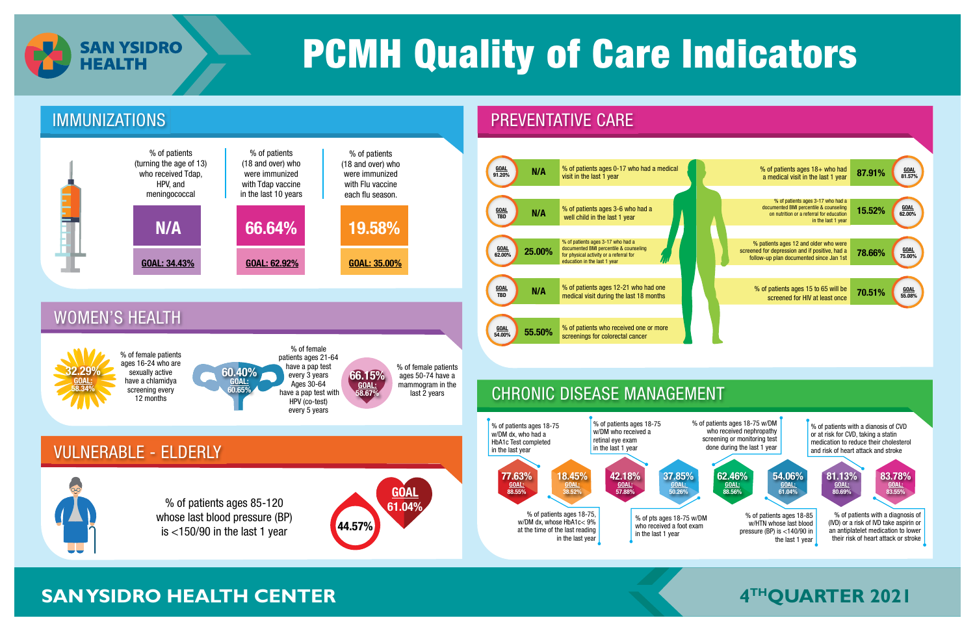

## **SAN YSIDRO HEALTH CENTER**





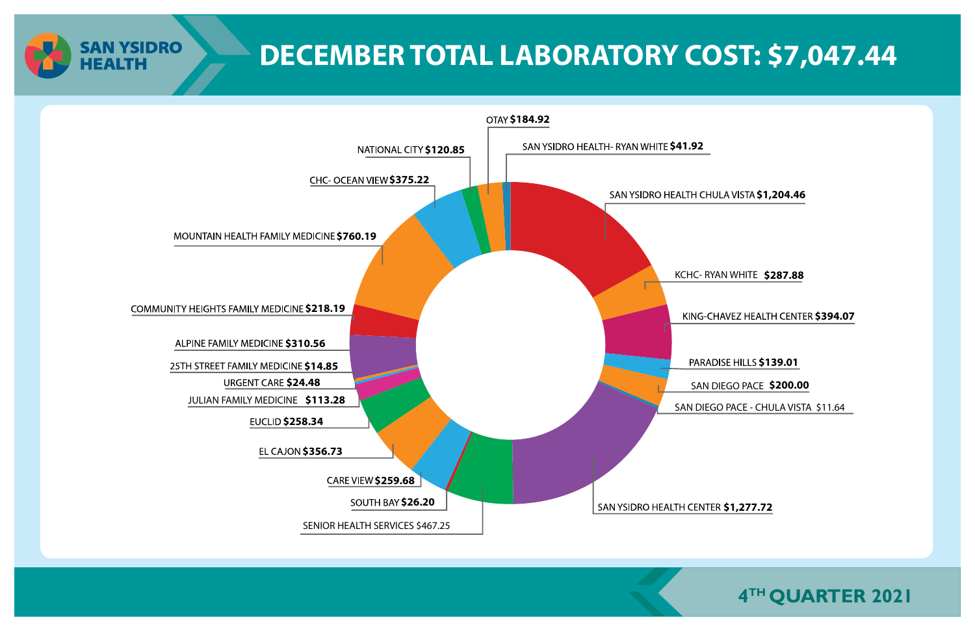**DECEMBER TOTAL LABORATORY COST: \$7,047.44**

SAN DIEGO PACE - CHULA VISTA \$11.64



**SAN YSIDRO** 

**HEALTH** 



SAN DIEGO PACE **\$200.00**

KCHC- RYAN WHITE **\$287.88**

**KING-CHAVEZ HEALTH CENTER \$394.07** 

**PARADISE HILLS \$139.01**